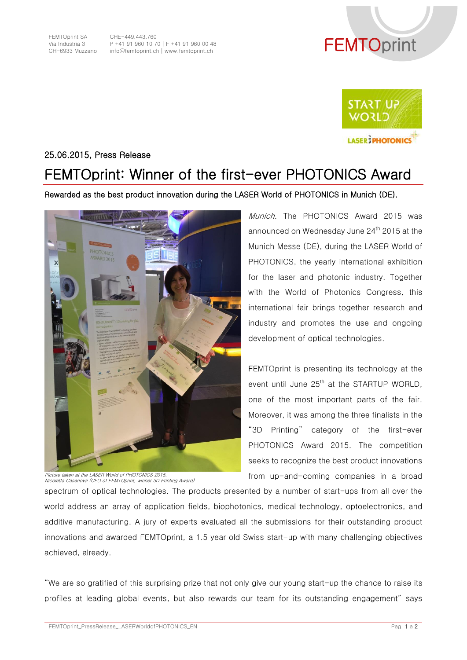

CHE-449.443.760 P +41 91 960 10 70│F +41 91 960 00 48 CHE-449.443.760<br>P +41 91 960 10 70 | F +41 91 960 00 48<br>info@femtoprint.ch | www.femtoprint.ch





## 25.06.2015, Press Release

## FEMTOprint: Winner of the first-ever PHOTONICS Award

## Rewarded as the best product innovation during the LASER World of PHOTONICS in Munich (DE).



Picture taken at the LASER World of PHOTONICS 2015. Nicoletta Casanova (CEO of FEMTOprint, winner 3D Printing Award)

Munich. The PHOTONICS Award 2015 was announced on Wednesday June 24<sup>th</sup> 2015 at the Munich Messe (DE), during the LASER World of PHOTONICS, the yearly international exhibition for the laser and photonic industry. Together with the World of Photonics Congress, this international fair brings together research and industry and promotes the use and ongoing development of optical technologies.

FEMTOprint is presenting its technology at the event until June 25<sup>th</sup> at the STARTUP WORLD. one of the most important parts of the fair. Moreover, it was among the three finalists in the "3D Printing" category of the first-ever PHOTONICS Award 2015. The competition seeks to recognize the best product innovations from up-and-coming companies in a broad

spectrum of optical technologies. The products presented by a number of start-ups from all over the world address an array of application fields, biophotonics, medical technology, optoelectronics, and additive manufacturing. A jury of experts evaluated all the submissions for their outstanding product innovations and awarded FEMTOprint, a 1.5 year old Swiss start-up with many challenging objectives achieved, already.

"We are so gratified of this surprising prize that not only give our young start-up the chance to raise its profiles at leading global events, but also rewards our team for its outstanding engagement" says